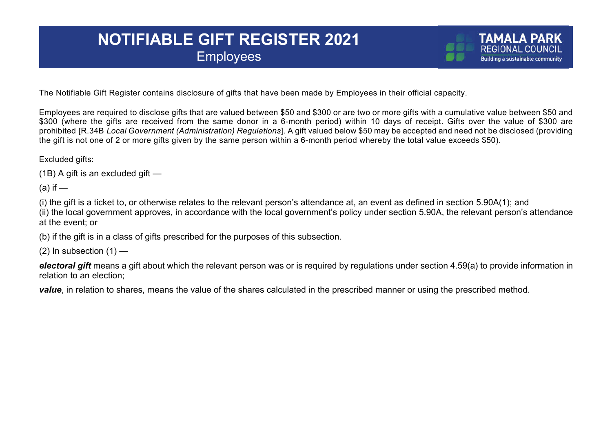## **NOTIFIABLE GIFT REGISTER 2021 Employees**

The Notifiable Gift Register contains disclosure of gifts that have been made by Employees in their official capacity.

Employees are required to disclose gifts that are valued between \$50 and \$300 or are two or more gifts with a cumulative value between \$50 and \$300 (where the gifts are received from the same donor in a 6-month period) within 10 days of receipt. Gifts over the value of \$300 are prohibited [R.34B *Local Government (Administration) Regulations*]. A gift valued below \$50 may be accepted and need not be disclosed (providing the gift is not one of 2 or more gifts given by the same person within a 6-month period whereby the total value exceeds \$50).

Excluded gifts:

(1B) A gift is an excluded gift —

 $(a)$  if  $-$ 

(i) the gift is a ticket to, or otherwise relates to the relevant person's attendance at, an event as defined in section 5.90A(1); and (ii) the local government approves, in accordance with the local government's policy under section 5.90A, the relevant person's attendance at the event; or

(b) if the gift is in a class of gifts prescribed for the purposes of this subsection.

 $(2)$  In subsection  $(1)$  —

*electoral gift* means a gift about which the relevant person was or is required by regulations under section 4.59(a) to provide information in relation to an election;

*value*, in relation to shares, means the value of the shares calculated in the prescribed manner or using the prescribed method.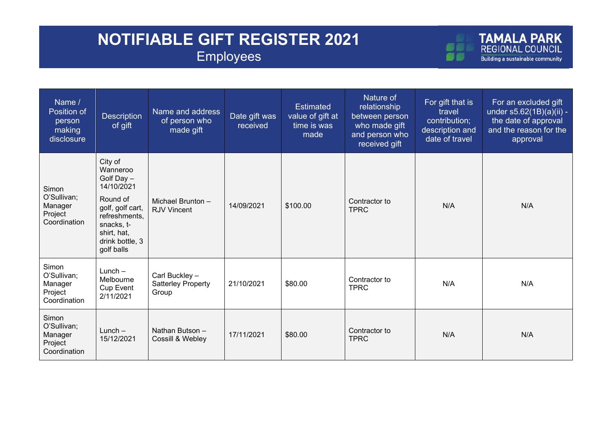## **NOTIFIABLE GIFT REGISTER 2021 Employees**

ØŌ

| Name /<br>Position of<br>person<br>making<br>disclosure    | <b>Description</b><br>of gift                                                                                                                                  | Name and address<br>of person who<br>made gift       | Date gift was<br>received | <b>Estimated</b><br>value of gift at<br>time is was<br>made | Nature of<br>relationship<br>between person<br>who made gift<br>and person who<br>received gift | For gift that is<br>travel<br>contribution;<br>description and<br>date of travel | For an excluded gift<br>under s5.62(1B)(a)(ii) -<br>the date of approval<br>and the reason for the<br>approval |
|------------------------------------------------------------|----------------------------------------------------------------------------------------------------------------------------------------------------------------|------------------------------------------------------|---------------------------|-------------------------------------------------------------|-------------------------------------------------------------------------------------------------|----------------------------------------------------------------------------------|----------------------------------------------------------------------------------------------------------------|
| Simon<br>O'Sullivan;<br>Manager<br>Project<br>Coordination | City of<br>Wanneroo<br>Golf Day -<br>14/10/2021<br>Round of<br>golf, golf cart,<br>refreshments,<br>snacks, t-<br>shirt, hat,<br>drink bottle, 3<br>golf balls | Michael Brunton -<br><b>RJV Vincent</b>              | 14/09/2021                | \$100.00                                                    | Contractor to<br><b>TPRC</b>                                                                    | N/A                                                                              | N/A                                                                                                            |
| Simon<br>O'Sullivan;<br>Manager<br>Project<br>Coordination | $Lunch -$<br>Melbourne<br><b>Cup Event</b><br>2/11/2021                                                                                                        | Carl Buckley -<br><b>Satterley Property</b><br>Group | 21/10/2021                | \$80.00                                                     | Contractor to<br><b>TPRC</b>                                                                    | N/A                                                                              | N/A                                                                                                            |
| Simon<br>O'Sullivan;<br>Manager<br>Project<br>Coordination | $Lunch -$<br>15/12/2021                                                                                                                                        | Nathan Butson -<br>Cossill & Webley                  | 17/11/2021                | \$80.00                                                     | Contractor to<br><b>TPRC</b>                                                                    | N/A                                                                              | N/A                                                                                                            |